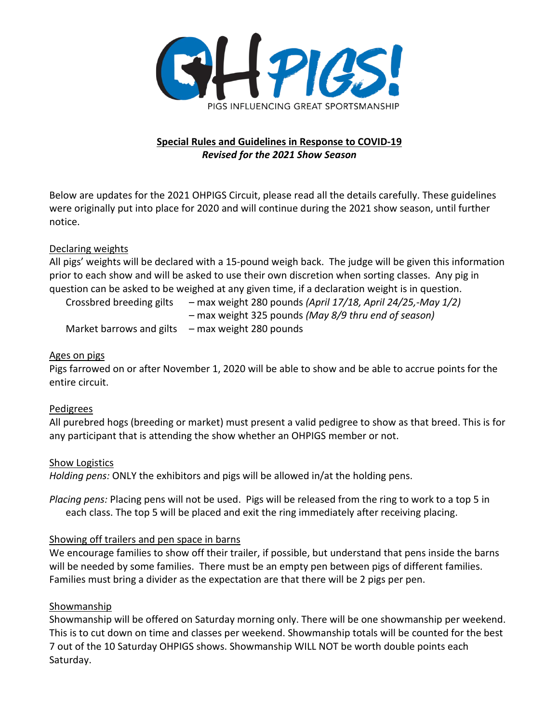

### **Special Rules and Guidelines in Response to COVID-19** *Revised for the 2021 Show Season*

Below are updates for the 2021 OHPIGS Circuit, please read all the details carefully. These guidelines were originally put into place for 2020 and will continue during the 2021 show season, until further notice.

### Declaring weights

All pigs' weights will be declared with a 15-pound weigh back. The judge will be given this information prior to each show and will be asked to use their own discretion when sorting classes. Any pig in question can be asked to be weighed at any given time, if a declaration weight is in question.

| Crossbred breeding gilts | - max weight 280 pounds (April 17/18, April 24/25,-May 1/2) |
|--------------------------|-------------------------------------------------------------|
|                          | - max weight 325 pounds (May 8/9 thru end of season)        |
| Market barrows and gilts | - max weight 280 pounds                                     |

### Ages on pigs

Pigs farrowed on or after November 1, 2020 will be able to show and be able to accrue points for the entire circuit.

### Pedigrees

All purebred hogs (breeding or market) must present a valid pedigree to show as that breed. This is for any participant that is attending the show whether an OHPIGS member or not.

### Show Logistics

*Holding pens:* ONLY the exhibitors and pigs will be allowed in/at the holding pens.

*Placing pens:* Placing pens will not be used. Pigs will be released from the ring to work to a top 5 in each class. The top 5 will be placed and exit the ring immediately after receiving placing.

### Showing off trailers and pen space in barns

We encourage families to show off their trailer, if possible, but understand that pens inside the barns will be needed by some families. There must be an empty pen between pigs of different families. Families must bring a divider as the expectation are that there will be 2 pigs per pen.

### Showmanship

Showmanship will be offered on Saturday morning only. There will be one showmanship per weekend. This is to cut down on time and classes per weekend. Showmanship totals will be counted for the best 7 out of the 10 Saturday OHPIGS shows. Showmanship WILL NOT be worth double points each Saturday.